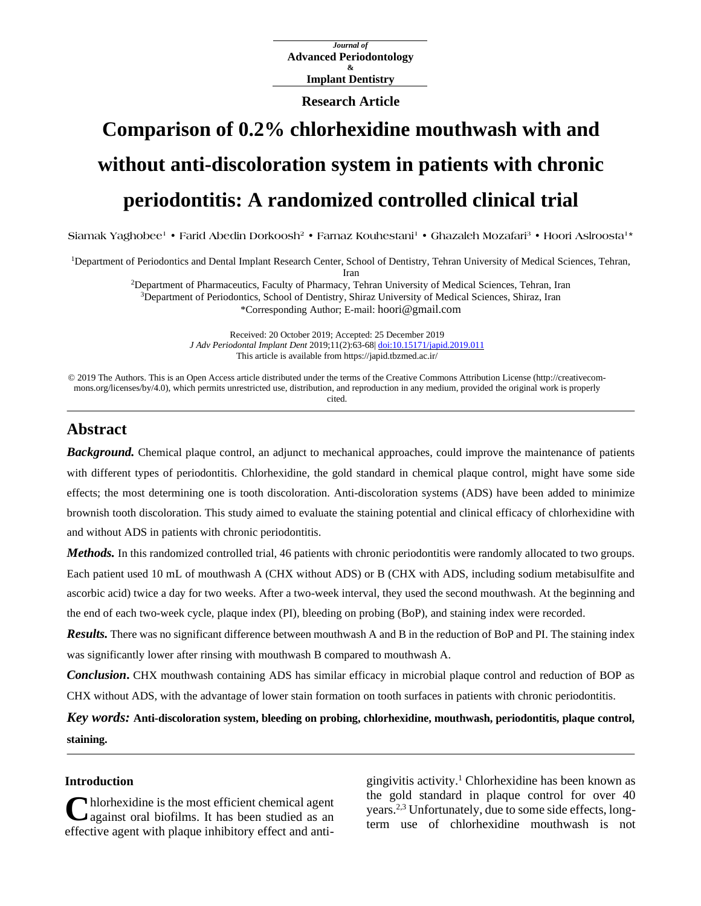*Journal of* **Advanced Periodontology & Implant Dentistry**

**Research Article**

# **Comparison of 0.2% chlorhexidine mouthwash with and without anti-discoloration system in patients with chronic periodontitis: A randomized controlled clinical trial**

"Siamak Yaghobee" • Farid Abedin Dorkoosh<sup>2</sup> • Farnaz Kouhestani<sup>1</sup> • Ghazaleh Mozafari<sup>3</sup> • Hoori Aslroosta<sup>1</sup>

<sup>1</sup>Department of Periodontics and Dental Implant Research Center, School of Dentistry, Tehran University of Medical Sciences, Tehran, Iran <sup>2</sup>Department of Pharmaceutics, Faculty of Pharmacy, Tehran University of Medical Sciences, Tehran, Iran <sup>3</sup>Department of Periodontics, School of Dentistry, Shiraz University of Medical Sciences, Shiraz, Iran

\*Corresponding Author; E-mail: hoori@gmail.com

Received: 20 October 2019; Accepted: 25 December 2019 *J Adv Periodontal Implant Dent* 2019;11(2):63-68| [doi:10.15171/japid.2019.011](http://dx.doi.org/10.15171/japid.2019.011) This article is available from https://japid.tbzmed.ac.ir/

© 2019 The Authors. This is an Open Access article distributed under the terms of the Creative Commons Attribution License (http://creativecommons.org/licenses/by/4.0), which permits unrestricted use, distribution, and reproduction in any medium, provided the original work is properly cited.

## **Abstract**

*Background.* Chemical plaque control, an adjunct to mechanical approaches, could improve the maintenance of patients with different types of periodontitis. Chlorhexidine, the gold standard in chemical plaque control, might have some side effects; the most determining one is tooth discoloration. Anti-discoloration systems (ADS) have been added to minimize brownish tooth discoloration. This study aimed to evaluate the staining potential and clinical efficacy of chlorhexidine with and without ADS in patients with chronic periodontitis.

*Methods*. In this randomized controlled trial, 46 patients with chronic periodontitis were randomly allocated to two groups. Each patient used 10 mL of mouthwash A (CHX without ADS) or B (CHX with ADS, including sodium metabisulfite and ascorbic acid) twice a day for two weeks. After a two-week interval, they used the second mouthwash. At the beginning and the end of each two-week cycle, plaque index (PI), bleeding on probing (BoP), and staining index were recorded.

*Results.* There was no significant difference between mouthwash A and B in the reduction of BoP and PI. The staining index was significantly lower after rinsing with mouthwash B compared to mouthwash A.

*Conclusion***.** CHX mouthwash containing ADS has similar efficacy in microbial plaque control and reduction of BOP as CHX without ADS, with the advantage of lower stain formation on tooth surfaces in patients with chronic periodontitis.

*Key words:* **Anti-discoloration system, bleeding on probing, chlorhexidine, mouthwash, periodontitis, plaque control, staining.**

## **Introduction**

hlorhexidine is the most efficient chemical agent against oral biofilms. It has been studied as an effective agent with plaque inhibitory effect and anti-**C**

gingivitis activity. <sup>1</sup> Chlorhexidine has been known as the gold standard in plaque control for over 40 years.<sup>2,3</sup> Unfortunately, due to some side effects, longterm use of chlorhexidine mouthwash is not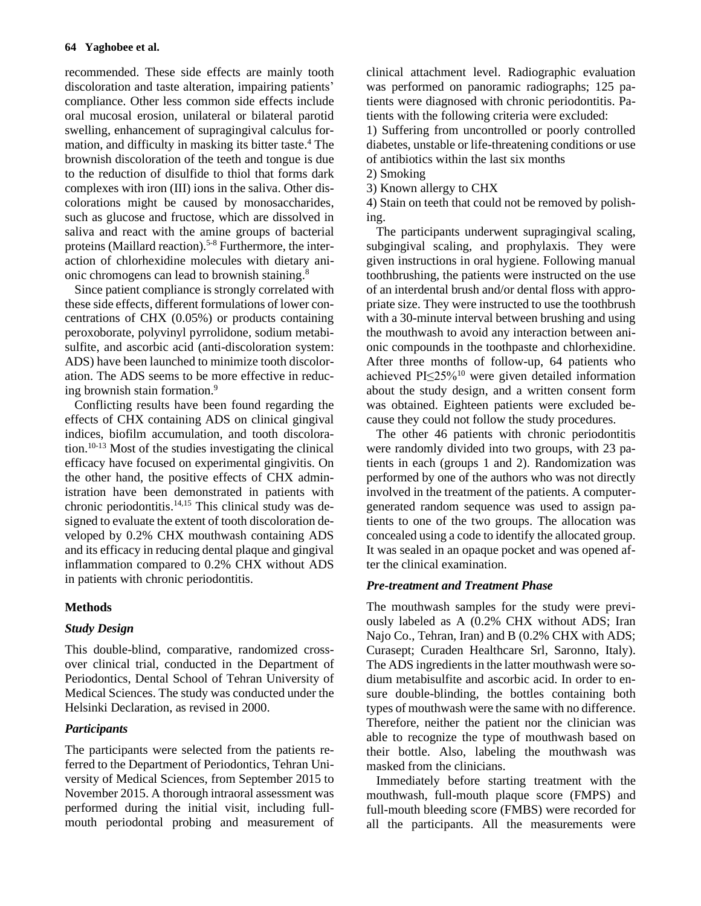recommended. These side effects are mainly tooth discoloration and taste alteration, impairing patients' compliance. Other less common side effects include oral mucosal erosion, unilateral or bilateral parotid swelling, enhancement of supragingival calculus formation, and difficulty in masking its bitter taste. <sup>4</sup> The brownish discoloration of the teeth and tongue is due to the reduction of [disulfide t](http://en.wikipedia.org/wiki/Disulfide)o [thiol t](http://en.wikipedia.org/wiki/Thiol)hat forms dark complexes with iron (III) ions in the [saliva.](http://en.wikipedia.org/wiki/Saliva) Other discolorations might be caused by monosaccharides, such as [glucose](http://en.wikipedia.org/wiki/Glucose) and [fructose,](http://en.wikipedia.org/wiki/Fructose) which are dissolved in [saliva](http://en.wikipedia.org/wiki/Saliva) and react with the [amine groups](http://en.wikipedia.org/wiki/Amine) of bacterial [proteins](http://en.wikipedia.org/wiki/Protein) [\(Maillard reaction\)](http://en.wikipedia.org/wiki/Maillard_reaction). 5-8 Furthermore, the interaction of chlorhexidine molecules with dietary anionic chromogens can lead to brownish staining. 8

Since patient compliance is strongly correlated with these side effects, different formulations of lower concentrations of CHX (0.05%) or products containing peroxoborate, polyvinyl pyrrolidone, sodium metabisulfite, and ascorbic acid (anti-discoloration system: ADS) have been launched to minimize tooth discoloration. The ADS seems to be more effective in reducing brownish stain formation. 9

Conflicting results have been found regarding the effects of CHX containing ADS on clinical gingival indices, biofilm accumulation, and tooth discoloration. 10-13 Most of the studies investigating the clinical efficacy have focused on experimental gingivitis. On the other hand, the positive effects of CHX administration have been demonstrated in patients with chronic periodontitis. 14,15 This clinical study was designed to evaluate the extent of tooth discoloration developed by 0.2% CHX mouthwash containing ADS and its efficacy in reducing dental plaque and gingival inflammation compared to 0.2% CHX without ADS in patients with chronic periodontitis.

## **Methods**

## *Study Design*

This double-blind, comparative, randomized crossover clinical trial, conducted in the Department of Periodontics, Dental School of Tehran University of Medical Sciences. The study was conducted under the Helsinki Declaration, as revised in 2000.

## *Participants*

The participants were selected from the patients referred to the Department of Periodontics, Tehran University of Medical Sciences, from September 2015 to November 2015. A thorough intraoral assessment was performed during the initial visit, including fullmouth periodontal probing and measurement of clinical attachment level. Radiographic evaluation was performed on panoramic radiographs; 125 patients were diagnosed with chronic periodontitis. Patients with the following criteria were excluded:

1) Suffering from uncontrolled or poorly controlled diabetes, unstable or life-threatening conditions or use of antibiotics within the last six months

2) Smoking

3) Known allergy to CHX

4) Stain on teeth that could not be removed by polishing.

The participants underwent supragingival scaling, subgingival scaling, and prophylaxis. They were given instructions in oral hygiene. Following manual toothbrushing, the patients were instructed on the use of an interdental brush and/or dental floss with appropriate size. They were instructed to use the toothbrush with a 30-minute interval between brushing and using the mouthwash to avoid any interaction between [ani](http://en.wikipedia.org/wiki/Anionic)[onic](http://en.wikipedia.org/wiki/Anionic) compounds in the toothpaste and chlorhexidine. After three months of follow-up, 64 patients who achieved PI≤25%<sup>10</sup> were given detailed information about the study design, and a written consent form was obtained. Eighteen patients were excluded because they could not follow the study procedures.

The other 46 patients with chronic periodontitis were randomly divided into two groups, with 23 patients in each (groups 1 and 2). Randomization was performed by one of the authors who was not directly involved in the treatment of the patients. A computergenerated random sequence was used to assign patients to one of the two groups. The allocation was concealed using a code to identify the allocated group. It was sealed in an opaque pocket and was opened after the clinical examination.

## *Pre-treatment and Treatment Phase*

The mouthwash samples for the study were previously labeled as A (0.2% CHX without ADS; Iran Najo Co., Tehran, Iran) and B (0.2% CHX with ADS; Curasept; Curaden Healthcare Srl, Saronno, Italy). The ADS ingredients in the latter mouthwash were sodium metabisulfite and ascorbic acid. In order to ensure double-blinding, the bottles containing both types of mouthwash were the same with no difference. Therefore, neither the patient nor the clinician was able to recognize the type of mouthwash based on their bottle. Also, labeling the mouthwash was masked from the clinicians.

Immediately before starting treatment with the mouthwash, full-mouth plaque score (FMPS) and full-mouth bleeding score (FMBS) were recorded for all the participants. All the measurements were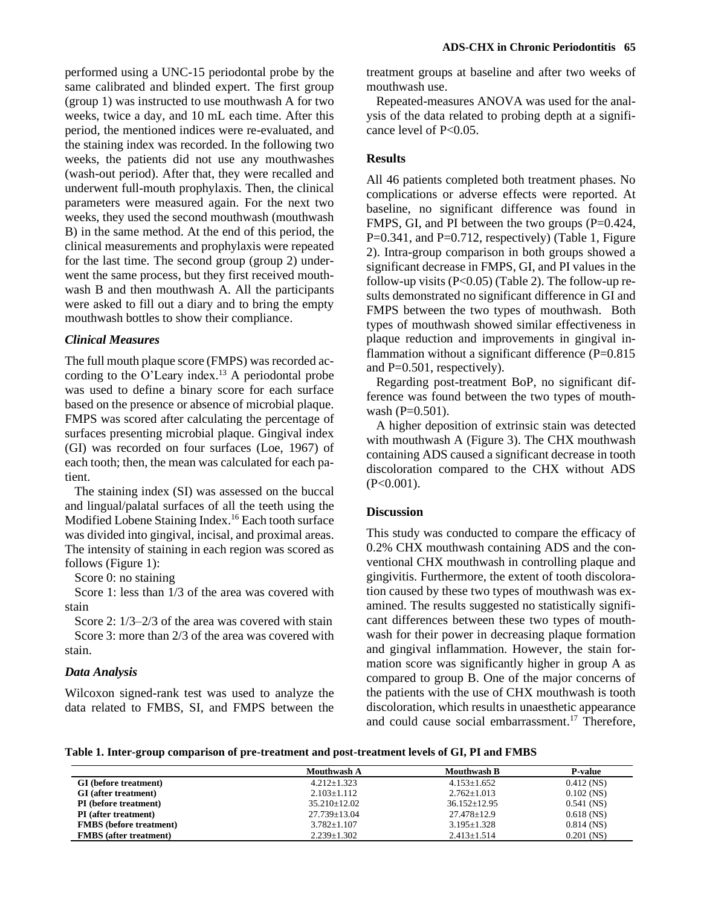performed using a UNC-15 periodontal probe by the same calibrated and blinded expert. The first group (group 1) was instructed to use mouthwash A for two weeks, twice a day, and 10 mL each time. After this period, the mentioned indices were re-evaluated, and the staining index was recorded. In the following two weeks, the patients did not use any mouthwashes (wash-out period). After that, they were recalled and underwent full-mouth prophylaxis. Then, the clinical parameters were measured again. For the next two weeks, they used the second mouthwash (mouthwash B) in the same method. At the end of this period, the clinical measurements and prophylaxis were repeated for the last time. The second group (group 2) underwent the same process, but they first received mouthwash B and then mouthwash A. All the participants were asked to fill out a diary and to bring the empty mouthwash bottles to show their compliance.

#### *Clinical Measures*

The full mouth plaque score (FMPS) was recorded according to the O'Leary index. <sup>13</sup> A periodontal probe was used to define a binary score for each surface based on the presence or absence of microbial plaque. FMPS was scored after calculating the percentage of surfaces presenting microbial plaque. Gingival index (GI) was recorded on four surfaces (Loe, 1967) of each tooth; then, the mean was calculated for each patient.

The staining index (SI) was assessed on the buccal and lingual/palatal surfaces of all the teeth using the Modified Lobene Staining Index. <sup>16</sup> Each tooth surface was divided into gingival, incisal, and proximal areas. The intensity of staining in each region was scored as follows (Figure 1):

Score 0: no staining

Score 1: less than  $1/3$  of the area was covered with stain

Score 2:  $1/3 - 2/3$  of the area was covered with stain Score 3: more than 2/3 of the area was covered with stain.

#### *Data Analysis*

Wilcoxon signed-rank test was used to analyze the data related to FMBS, SI, and FMPS between the

treatment groups at baseline and after two weeks of mouthwash use.

Repeated-measures ANOVA was used for the analysis of the data related to probing depth at a significance level of P<0.05.

### **Results**

All 46 patients completed both treatment phases. No complications or adverse effects were reported. At baseline, no significant difference was found in FMPS, GI, and PI between the two groups  $(P=0.424,$  $P=0.341$ , and  $P=0.712$ , respectively) (Table 1, Figure 2). Intra-group comparison in both groups showed a significant decrease in FMPS, GI, and PI values in the follow-up visits  $(P<0.05)$  (Table 2). The follow-up results demonstrated no significant difference in GI and FMPS between the two types of mouthwash. Both types of mouthwash showed similar effectiveness in plaque reduction and improvements in gingival inflammation without a significant difference (P=0.815) and P=0.501, respectively).

Regarding post-treatment BoP, no significant difference was found between the two types of mouthwash (P=0.501).

A higher deposition of extrinsic stain was detected with mouthwash A (Figure 3). The CHX mouthwash containing ADS caused a significant decrease in tooth discoloration compared to the CHX without ADS  $(P<0.001)$ .

#### **Discussion**

This study was conducted to compare the efficacy of 0.2% CHX mouthwash containing ADS and the conventional CHX mouthwash in controlling plaque and gingivitis. Furthermore, the extent of tooth discoloration caused by these two types of mouthwash was examined. The results suggested no statistically significant differences between these two types of mouthwash for their power in decreasing plaque formation and gingival inflammation. However, the stain formation score was significantly higher in group A as compared to group B. One of the major concerns of the patients with the use of CHX mouthwash is tooth discoloration, which results in unaesthetic appearance and could cause social embarrassment. <sup>17</sup> Therefore,

**Table 1. Inter-group comparison of pre-treatment and post-treatment levels of GI, PI and FMBS**

|                                | <b>Mouthwash A</b> | Mouthwash B       | <b>P-value</b> |
|--------------------------------|--------------------|-------------------|----------------|
| <b>GI</b> (before treatment)   | $4.212+1.323$      | $4.153 + 1.652$   | $0.412$ (NS)   |
| GI (after treatment)           | $2.103 \pm 1.112$  | $2.762 + 1.013$   | $0.102$ (NS)   |
| <b>PI</b> (before treatment)   | $35.210 + 12.02$   | $36.152 + 12.95$  | $0.541$ (NS)   |
| <b>PI</b> (after treatment)    | $27.739 \pm 13.04$ | $27.478 \pm 12.9$ | $0.618$ (NS)   |
| <b>FMBS</b> (before treatment) | $3.782 \pm 1.107$  | $3.195 \pm 1.328$ | $0.814$ (NS)   |
| <b>FMBS</b> (after treatment)  | $2.239 \pm 1.302$  | $2.413 \pm 1.514$ | $0.201$ (NS)   |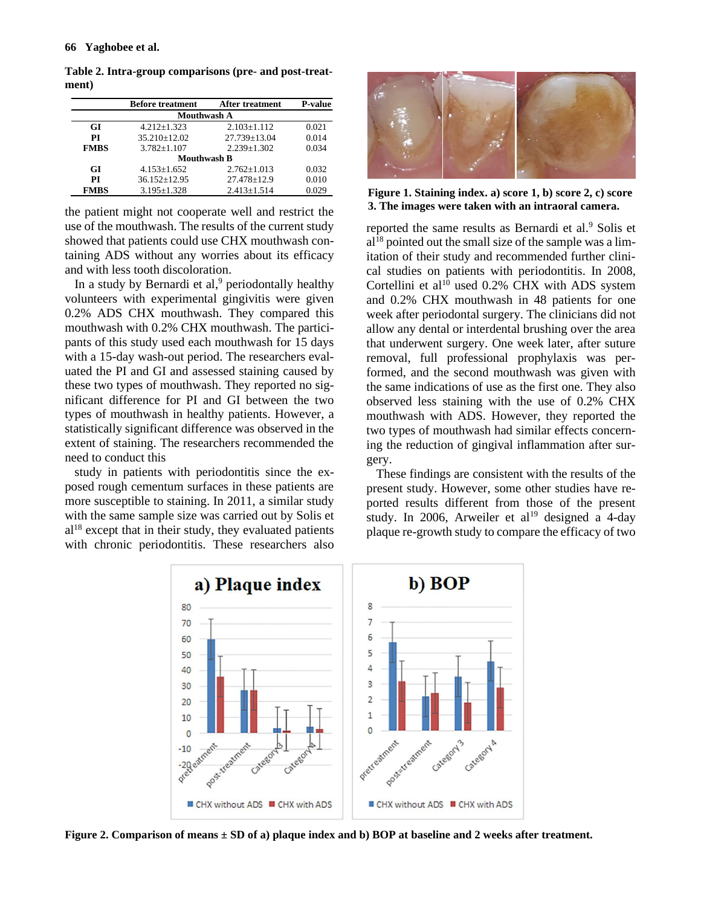|                    | <b>Before treatment</b> | <b>After treatment</b> | <b>P-value</b> |  |  |
|--------------------|-------------------------|------------------------|----------------|--|--|
| <b>Mouthwash A</b> |                         |                        |                |  |  |
| GI                 | $4.212 + 1.323$         | $2.103 + 1.112$        | 0.021          |  |  |
| РI                 | 35.210±12.02            | $27.739 \pm 13.04$     | 0.014          |  |  |
| <b>FMBS</b>        | $3.782 + 1.107$         | $2.239 \pm 1.302$      | 0.034          |  |  |
| <b>Mouthwash B</b> |                         |                        |                |  |  |
| GI                 | $4.153 \pm 1.652$       | $2.762 \pm 1.013$      | 0.032          |  |  |
| РI                 | $36.152 \pm 12.95$      | $27.478 \pm 12.9$      | 0.010          |  |  |
| <b>FMBS</b>        | $3.195 \pm 1.328$       | $2.413 \pm 1.514$      | 0.029          |  |  |

**Table 2. Intra-group comparisons (pre- and post-treatment)**

the patient might not cooperate well and restrict the use of the mouthwash. The results of the current study showed that patients could use CHX mouthwash containing ADS without any worries about its efficacy and with less tooth discoloration.

In a study by Bernardi et al, <sup>9</sup> periodontally healthy volunteers with experimental gingivitis were given 0.2% ADS CHX mouthwash. They compared this mouthwash with 0.2% CHX mouthwash. The participants of this study used each mouthwash for 15 days with a 15-day wash-out period. The researchers evaluated the PI and GI and assessed staining caused by these two types of mouthwash. They reported no significant difference for PI and GI between the two types of mouthwash in healthy patients. However, a statistically significant difference was observed in the extent of staining. The researchers recommended the need to conduct this

study in patients with periodontitis since the exposed rough cementum surfaces in these patients are more susceptible to staining. In 2011, a similar study with the same sample size was carried out by Solis et  $al<sup>18</sup>$  except that in their study, they evaluated patients with chronic periodontitis. These researchers also



**Figure 1. Staining index. a) score 1, b) score 2, c) score 3. The images were taken with an intraoral camera.**

reported the same results as Bernardi et al.<sup>9</sup> Solis et  $al^{18}$  pointed out the small size of the sample was a limitation of their study and recommended further clinical studies on patients with periodontitis. In 2008, Cortellini et al<sup>10</sup> used 0.2% CHX with ADS system and 0.2% CHX mouthwash in 48 patients for one week after periodontal surgery. The clinicians did not allow any dental or interdental brushing over the area that underwent surgery. One week later, after suture removal, full professional prophylaxis was performed, and the second mouthwash was given with the same indications of use as the first one. They also observed less staining with the use of 0.2% CHX mouthwash with ADS. However, they reported the two types of mouthwash had similar effects concerning the reduction of gingival inflammation after surgery.

These findings are consistent with the results of the present study. However, some other studies have reported results different from those of the present study. In 2006, Arweiler et al<sup>19</sup> designed a 4-day plaque re-growth study to compare the efficacy of two



**Figure 2. Comparison of means ± SD of a) plaque index and b) BOP at baseline and 2 weeks after treatment.**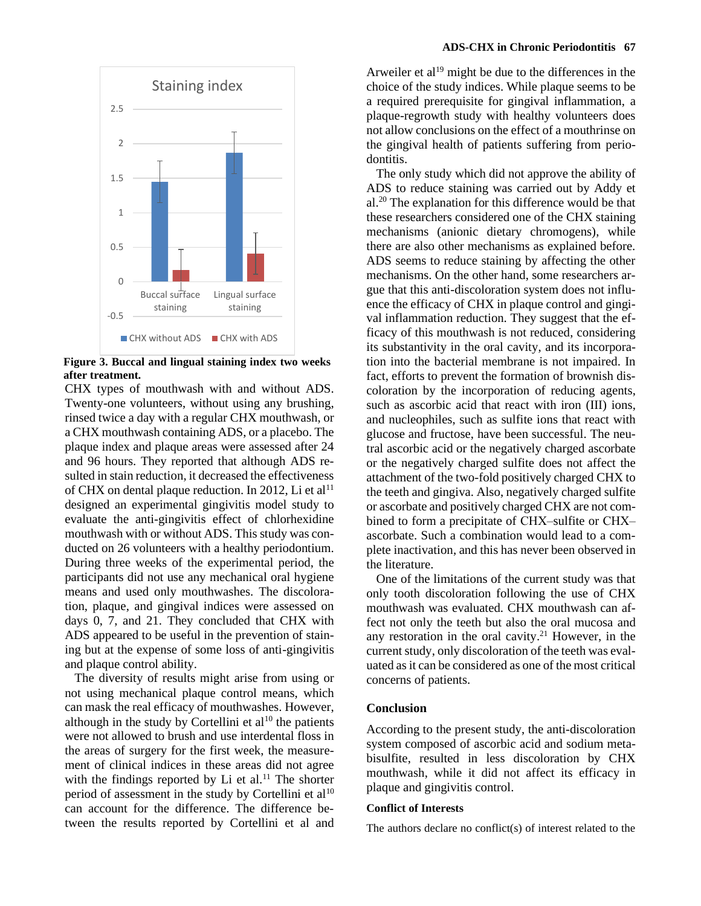

**Figure 3. Buccal and lingual staining index two weeks after treatment.**

CHX types of mouthwash with and without ADS. Twenty-one volunteers, without using any brushing, rinsed twice a day with a regular CHX mouthwash, or a CHX mouthwash containing ADS, or a placebo. The plaque index and plaque areas were assessed after 24 and 96 hours. They reported that although ADS resulted in stain reduction, it decreased the effectiveness of CHX on dental plaque reduction. In 2012, Li et al<sup>11</sup> designed an experimental gingivitis model study to evaluate the anti-gingivitis effect of chlorhexidine mouthwash with or without ADS. This study was conducted on 26 volunteers with a healthy periodontium. During three weeks of the experimental period, the participants did not use any mechanical oral hygiene means and used only mouthwashes. The discoloration, plaque, and gingival indices were assessed on days 0, 7, and 21. They concluded that CHX with ADS appeared to be useful in the prevention of staining but at the expense of some loss of anti-gingivitis and plaque control ability.

The diversity of results might arise from using or not using mechanical plaque control means, which can mask the real efficacy of mouthwashes. However, although in the study by Cortellini et  $al^{10}$  the patients were not allowed to brush and use interdental floss in the areas of surgery for the first week, the measurement of clinical indices in these areas did not agree with the findings reported by Li et al. $11$  The shorter period of assessment in the study by Cortellini et al<sup>10</sup> can account for the difference. The difference between the results reported by Cortellini et al and Arweiler et al<sup>19</sup> might be due to the differences in the choice of the study indices. While plaque seems to be a required prerequisite for gingival inflammation, a plaque-regrowth study with healthy volunteers does not allow conclusions on the effect of a mouthrinse on the gingival health of patients suffering from [perio](http://en.wikipedia.org/wiki/Periodontitis)[dontitis.](http://en.wikipedia.org/wiki/Periodontitis)

The only study which did not approve the ability of ADS to reduce staining was carried out by Addy et al. <sup>20</sup> The explanation for this difference would be that these researchers considered one of the CHX staining mechanisms (anionic dietary chromogens), while there are also other mechanisms as explained before. ADS seems to reduce staining by affecting the other mechanisms. On the other hand, some researchers argue that this anti-discoloration system does not influence the efficacy of CHX in plaque control and gingival inflammation reduction. They suggest that the efficacy of this mouthwash is not reduced, considering its substantivity in the oral cavity, and its incorporation into the bacterial membrane is not impaired. In fact, efforts to prevent the formation of brownish discoloration by the incorporation of reducing agents, such as [ascorbic acid](http://en.wikipedia.org/wiki/Ascorbic_acid) that react with iron (III) ions, and nucleophiles, such as [sulfite](http://en.wikipedia.org/wiki/Sulfite) ions that react with [glucose](http://en.wikipedia.org/wiki/Glucose) and [fructose,](http://en.wikipedia.org/wiki/Fructose) have been successful. The neutral [ascorbic acid](http://en.wikipedia.org/wiki/Ascorbic_acid) or the negatively charged [ascorbate](http://en.wikipedia.org/wiki/Ascorbate) or the negatively charged [sulfite](http://en.wikipedia.org/wiki/Sulfite) does not affect the attachment of the two-fold positively charged CHX to the teeth and gingiva. Also, negatively charged [sulfite](http://en.wikipedia.org/wiki/Sulfite) o[r ascorbate](http://en.wikipedia.org/wiki/Ascorbate) and positively charged CHX are not combined to form a precipitate of CHX-sulfite or CHX– ascorbate. Such a combination would lead to a complete inactivation, and this has never been observed in the literature.

One of the limitations of the current study was that only tooth discoloration following the use of CHX mouthwash was evaluated. CHX mouthwash can affect not only the teeth but also the oral mucosa and any restoration in the oral cavity. <sup>21</sup> However, in the current study, only discoloration of the teeth was evaluated as it can be considered as one of the most critical concerns of patients.

#### **Conclusion**

According to the present study, the anti-discoloration system composed of ascorbic acid and sodium metabisulfite, resulted in less discoloration by CHX mouthwash, while it did not affect its efficacy in plaque and gingivitis control.

#### **Conflict of Interests**

The authors declare no conflict(s) of interest related to the